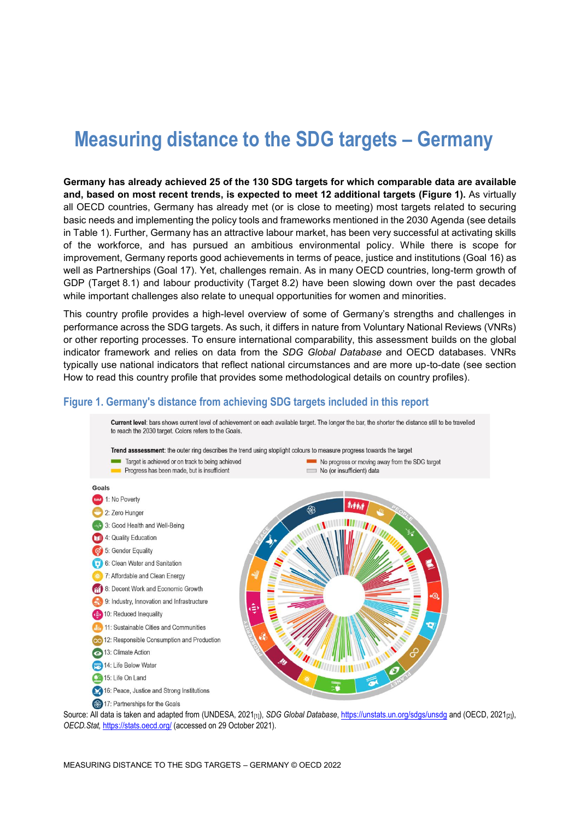# **Measuring distance to the SDG targets – Germany**

**Germany has already achieved 25 of the 130 SDG targets for which comparable data are available and, based on most recent trends, is expected to meet 12 additional targets [\(Figure](#page-0-0) 1).** As virtually all OECD countries, Germany has already met (or is close to meeting) most targets related to securing basic needs and implementing the policy tools and frameworks mentioned in the 2030 Agenda (see details in [Table](#page-3-0) 1). Further, Germany has an attractive labour market, has been very successful at activating skills of the workforce, and has pursued an ambitious environmental policy. While there is scope for improvement, Germany reports good achievements in terms of peace, justice and institutions (Goal 16) as well as Partnerships (Goal 17). Yet, challenges remain. As in many OECD countries, long-term growth of GDP (Target 8.1) and labour productivity (Target 8.2) have been slowing down over the past decades while important challenges also relate to unequal opportunities for women and minorities.

This country profile provides a high-level overview of some of Germany's strengths and challenges in performance across the SDG targets. As such, it differs in nature from Voluntary National Reviews (VNRs) or other reporting processes. To ensure international comparability, this assessment builds on the global indicator framework and relies on data from the *SDG Global Database* and OECD databases. VNRs typically use national indicators that reflect national circumstances and are more up-to-date (see section [How to read this](#page-8-0) country profile that provides some methodological details on country profiles).

#### <span id="page-0-0"></span>**Figure 1. Germany's distance from achieving SDG targets included in this report**



Source: All data is taken and adapted from (UNDESA, 2021<sub>[1]</sub>), *SDG Global Database*[, https://unstats.un.org/sdgs/unsdg](https://unstats.un.org/sdgs/unsdg) and (OECD, 2021<sub>[2]</sub>), *OECD.Stat,* <https://stats.oecd.org/> (accessed on 29 October 2021).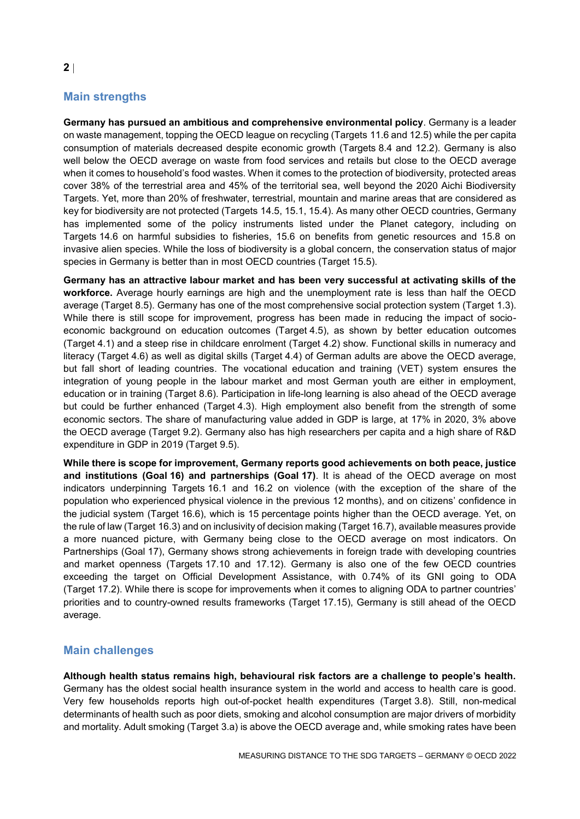# **Main strengths**

**Germany has pursued an ambitious and comprehensive environmental policy**. Germany is a leader on waste management, topping the OECD league on recycling (Targets 11.6 and 12.5) while the per capita consumption of materials decreased despite economic growth (Targets 8.4 and 12.2). Germany is also well below the OECD average on waste from food services and retails but close to the OECD average when it comes to household's food wastes. When it comes to the protection of biodiversity, protected areas cover 38% of the terrestrial area and 45% of the territorial sea, well beyond the 2020 Aichi Biodiversity Targets. Yet, more than 20% of freshwater, terrestrial, mountain and marine areas that are considered as key for biodiversity are not protected (Targets 14.5, 15.1, 15.4). As many other OECD countries, Germany has implemented some of the policy instruments listed under the Planet category, including on Targets 14.6 on harmful subsidies to fisheries, 15.6 on benefits from genetic resources and 15.8 on invasive alien species. While the loss of biodiversity is a global concern, the conservation status of major species in Germany is better than in most OECD countries (Target 15.5).

**Germany has an attractive labour market and has been very successful at activating skills of the workforce.** Average hourly earnings are high and the unemployment rate is less than half the OECD average (Target 8.5). Germany has one of the most comprehensive social protection system (Target 1.3). While there is still scope for improvement, progress has been made in reducing the impact of socioeconomic background on education outcomes (Target 4.5), as shown by better education outcomes (Target 4.1) and a steep rise in childcare enrolment (Target 4.2) show. Functional skills in numeracy and literacy (Target 4.6) as well as digital skills (Target 4.4) of German adults are above the OECD average, but fall short of leading countries. The vocational education and training (VET) system ensures the integration of young people in the labour market and most German youth are either in employment, education or in training (Target 8.6). Participation in life-long learning is also ahead of the OECD average but could be further enhanced (Target 4.3). High employment also benefit from the strength of some economic sectors. The share of manufacturing value added in GDP is large, at 17% in 2020, 3% above the OECD average (Target 9.2). Germany also has high researchers per capita and a high share of R&D expenditure in GDP in 2019 (Target 9.5).

**While there is scope for improvement, Germany reports good achievements on both peace, justice and institutions (Goal 16) and partnerships (Goal 17)**. It is ahead of the OECD average on most indicators underpinning Targets 16.1 and 16.2 on violence (with the exception of the share of the population who experienced physical violence in the previous 12 months), and on citizens' confidence in the judicial system (Target 16.6), which is 15 percentage points higher than the OECD average. Yet, on the rule of law (Target 16.3) and on inclusivity of decision making (Target 16.7), available measures provide a more nuanced picture, with Germany being close to the OECD average on most indicators. On Partnerships (Goal 17), Germany shows strong achievements in foreign trade with developing countries and market openness (Targets 17.10 and 17.12). Germany is also one of the few OECD countries exceeding the target on Official Development Assistance, with 0.74% of its GNI going to ODA (Target 17.2). While there is scope for improvements when it comes to aligning ODA to partner countries' priorities and to country-owned results frameworks (Target 17.15), Germany is still ahead of the OECD average.

## **Main challenges**

**Although health status remains high, behavioural risk factors are a challenge to people's health.**  Germany has the oldest social health insurance system in the world and access to health care is good. Very few households reports high out-of-pocket health expenditures (Target 3.8). Still, non-medical determinants of health such as poor diets, smoking and alcohol consumption are major drivers of morbidity and mortality. Adult smoking (Target 3.a) is above the OECD average and, while smoking rates have been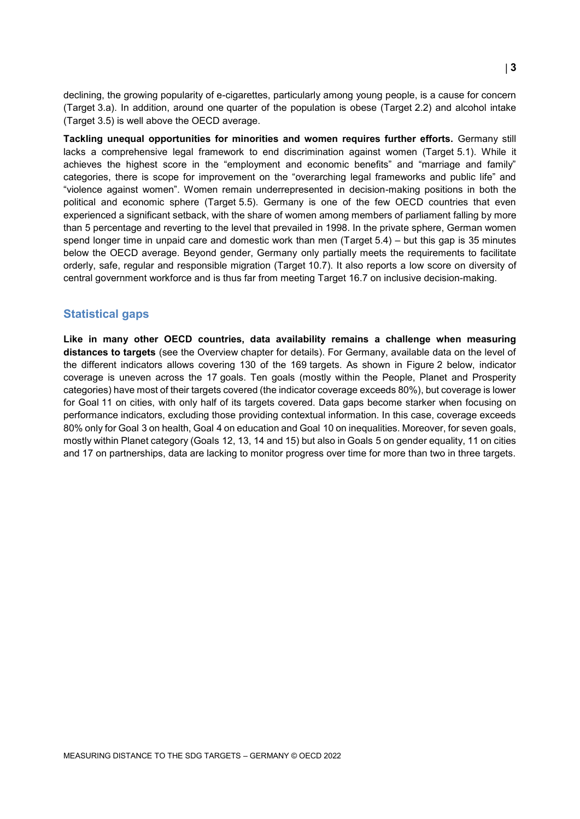declining, the growing popularity of e-cigarettes, particularly among young people, is a cause for concern (Target 3.a). In addition, around one quarter of the population is obese (Target 2.2) and alcohol intake (Target 3.5) is well above the OECD average.

**Tackling unequal opportunities for minorities and women requires further efforts.** Germany still lacks a comprehensive legal framework to end discrimination against women (Target 5.1). While it achieves the highest score in the "employment and economic benefits" and "marriage and family" categories, there is scope for improvement on the "overarching legal frameworks and public life" and "violence against women". Women remain underrepresented in decision-making positions in both the political and economic sphere (Target 5.5). Germany is one of the few OECD countries that even experienced a significant setback, with the share of women among members of parliament falling by more than 5 percentage and reverting to the level that prevailed in 1998. In the private sphere, German women spend longer time in unpaid care and domestic work than men (Target 5.4) – but this gap is 35 minutes below the OECD average. Beyond gender, Germany only partially meets the requirements to facilitate orderly, safe, regular and responsible migration (Target 10.7). It also reports a low score on diversity of central government workforce and is thus far from meeting Target 16.7 on inclusive decision-making.

#### **Statistical gaps**

**Like in many other OECD countries, data availability remains a challenge when measuring distances to targets** (see the Overview chapter for details). For Germany, available data on the level of the different indicators allows covering 130 of the 169 targets. As shown in [Figure](#page-3-1) 2 below, indicator coverage is uneven across the 17 goals. Ten goals (mostly within the People, Planet and Prosperity categories) have most of their targets covered (the indicator coverage exceeds 80%), but coverage is lower for Goal 11 on cities, with only half of its targets covered. Data gaps become starker when focusing on performance indicators, excluding those providing contextual information. In this case, coverage exceeds 80% only for Goal 3 on health, Goal 4 on education and Goal 10 on inequalities. Moreover, for seven goals, mostly within Planet category (Goals 12, 13, 14 and 15) but also in Goals 5 on gender equality, 11 on cities and 17 on partnerships, data are lacking to monitor progress over time for more than two in three targets.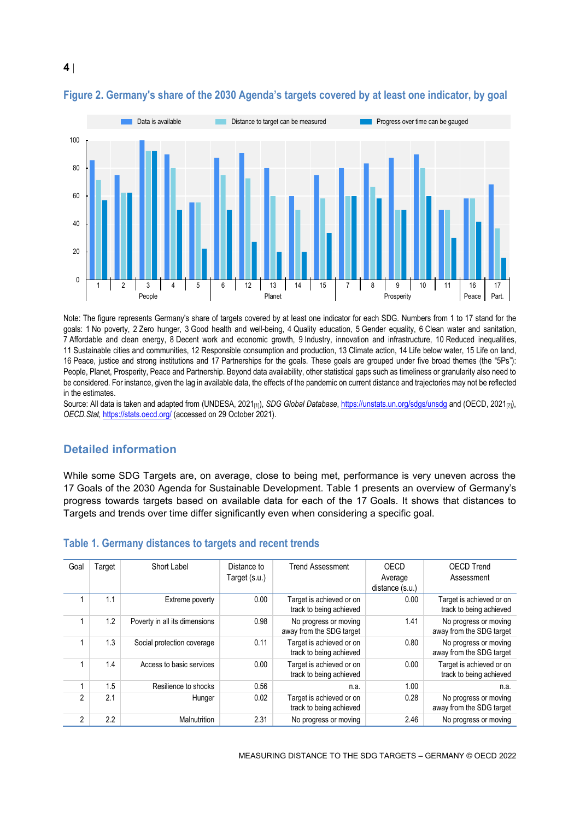

#### <span id="page-3-1"></span>**Figure 2. Germany's share of the 2030 Agenda's targets covered by at least one indicator, by goal**

Note: The figure represents Germany's share of targets covered by at least one indicator for each SDG. Numbers from 1 to 17 stand for the goals: 1 No poverty, 2 Zero hunger, 3 Good health and well-being, 4 Quality education, 5 Gender equality, 6 Clean water and sanitation, 7 Affordable and clean energy, 8 Decent work and economic growth, 9 Industry, innovation and infrastructure, 10 Reduced inequalities, 11 Sustainable cities and communities, 12 Responsible consumption and production, 13 Climate action, 14 Life below water, 15 Life on land, 16 Peace, justice and strong institutions and 17 Partnerships for the goals. These goals are grouped under five broad themes (the "5Ps"): People, Planet, Prosperity, Peace and Partnership. Beyond data availability, other statistical gaps such as timeliness or granularity also need to be considered. For instance, given the lag in available data, the effects of the pandemic on current distance and trajectories may not be reflected in the estimates.

Source: All data is taken and adapted from (UNDESA, 2021<sub>[1]</sub>), *SDG Global Database*[, https://unstats.un.org/sdgs/unsdg](https://unstats.un.org/sdgs/unsdg) and (OECD, 2021<sub>[2]</sub>), *OECD.Stat,* <https://stats.oecd.org/> (accessed on 29 October 2021).

## **Detailed information**

While some SDG Targets are, on average, close to being met, performance is very uneven across the 17 Goals of the 2030 Agenda for Sustainable Development. [Table](#page-3-0) 1 presents an overview of Germany's progress towards targets based on available data for each of the 17 Goals. It shows that distances to Targets and trends over time differ significantly even when considering a specific goal.

| Goal           | Target           | Short Label                   | Distance to   | <b>Trend Assessment</b>                             | OECD            | <b>OECD Trend</b>                                   |
|----------------|------------------|-------------------------------|---------------|-----------------------------------------------------|-----------------|-----------------------------------------------------|
|                |                  |                               | Target (s.u.) |                                                     | Average         | Assessment                                          |
|                |                  |                               |               |                                                     | distance (s.u.) |                                                     |
|                | 1.1              | Extreme poverty               | 0.00          | Target is achieved or on<br>track to being achieved | 0.00            | Target is achieved or on<br>track to being achieved |
|                | 1.2              | Poverty in all its dimensions | 0.98          | No progress or moving<br>away from the SDG target   | 1.41            | No progress or moving<br>away from the SDG target   |
|                | 1.3              | Social protection coverage    | 0.11          | Target is achieved or on<br>track to being achieved | 0.80            | No progress or moving<br>away from the SDG target   |
|                | 1.4              | Access to basic services      | 0.00          | Target is achieved or on<br>track to being achieved | 0.00            | Target is achieved or on<br>track to being achieved |
|                | 1.5              | Resilience to shocks          | 0.56          | n.a.                                                | 1.00            | n.a.                                                |
| 2              | 2.1              | Hunger                        | 0.02          | Target is achieved or on<br>track to being achieved | 0.28            | No progress or moving<br>away from the SDG target   |
| $\mathfrak{p}$ | $2.2\phantom{0}$ | Malnutrition                  | 2.31          | No progress or moving                               | 2.46            | No progress or moving                               |

#### <span id="page-3-0"></span>**Table 1. Germany distances to targets and recent trends**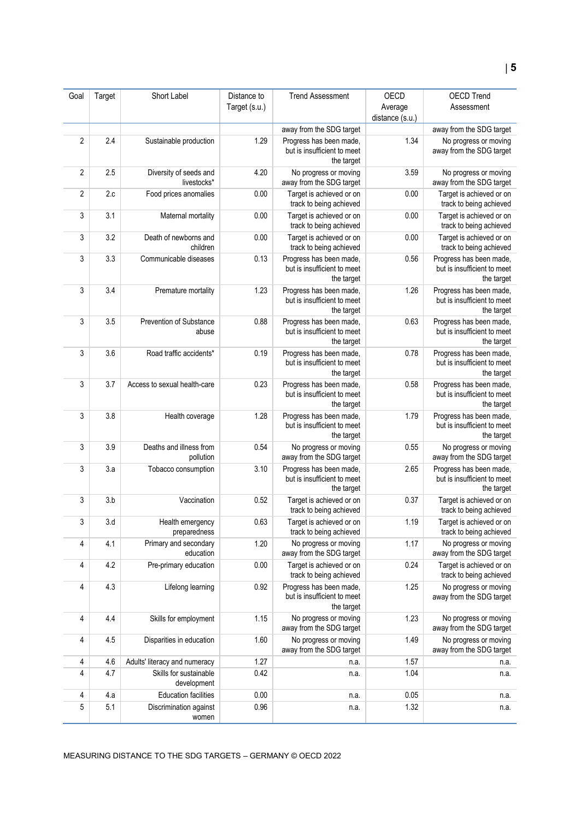| Goal           | Target | Short Label                           | Distance to   | <b>Trend Assessment</b>                                              | OECD            | <b>OECD Trend</b>                                                    |
|----------------|--------|---------------------------------------|---------------|----------------------------------------------------------------------|-----------------|----------------------------------------------------------------------|
|                |        |                                       | Target (s.u.) |                                                                      | Average         | Assessment                                                           |
|                |        |                                       |               |                                                                      | distance (s.u.) |                                                                      |
|                |        |                                       |               | away from the SDG target                                             |                 | away from the SDG target                                             |
| $\overline{2}$ | 2.4    | Sustainable production                | 1.29          | Progress has been made,<br>but is insufficient to meet<br>the target | 1.34            | No progress or moving<br>away from the SDG target                    |
| $\overline{2}$ | 2.5    | Diversity of seeds and<br>livestocks* | 4.20          | No progress or moving<br>away from the SDG target                    | 3.59            | No progress or moving<br>away from the SDG target                    |
| $\overline{2}$ | 2.c    | Food prices anomalies                 | 0.00          | Target is achieved or on<br>track to being achieved                  | 0.00            | Target is achieved or on<br>track to being achieved                  |
| 3              | 3.1    | Maternal mortality                    | 0.00          | Target is achieved or on<br>track to being achieved                  | 0.00            | Target is achieved or on<br>track to being achieved                  |
| 3              | 3.2    | Death of newborns and<br>children     | 0.00          | Target is achieved or on<br>track to being achieved                  | 0.00            | Target is achieved or on<br>track to being achieved                  |
| 3              | 3.3    | Communicable diseases                 | 0.13          | Progress has been made,<br>but is insufficient to meet<br>the target | 0.56            | Progress has been made,<br>but is insufficient to meet<br>the target |
| 3              | 3.4    | Premature mortality                   | 1.23          | Progress has been made,<br>but is insufficient to meet<br>the target | 1.26            | Progress has been made,<br>but is insufficient to meet<br>the target |
| 3              | 3.5    | Prevention of Substance<br>abuse      | 0.88          | Progress has been made,<br>but is insufficient to meet<br>the target | 0.63            | Progress has been made,<br>but is insufficient to meet<br>the target |
| 3              | 3.6    | Road traffic accidents*               | 0.19          | Progress has been made,<br>but is insufficient to meet<br>the target | 0.78            | Progress has been made,<br>but is insufficient to meet<br>the target |
| 3              | 3.7    | Access to sexual health-care          | 0.23          | Progress has been made,<br>but is insufficient to meet<br>the target | 0.58            | Progress has been made,<br>but is insufficient to meet<br>the target |
| 3              | 3.8    | Health coverage                       | 1.28          | Progress has been made,<br>but is insufficient to meet<br>the target | 1.79            | Progress has been made,<br>but is insufficient to meet<br>the target |
| 3              | 3.9    | Deaths and illness from<br>pollution  | 0.54          | No progress or moving<br>away from the SDG target                    | 0.55            | No progress or moving<br>away from the SDG target                    |
| 3              | 3.a    | Tobacco consumption                   | 3.10          | Progress has been made,<br>but is insufficient to meet<br>the target | 2.65            | Progress has been made,<br>but is insufficient to meet<br>the target |
| 3              | 3.b    | Vaccination                           | 0.52          | Target is achieved or on<br>track to being achieved                  | 0.37            | Target is achieved or on<br>track to being achieved                  |
| 3              | 3.d    | Health emergency<br>preparedness      | 0.63          | Target is achieved or on<br>track to being achieved                  | 1.19            | Target is achieved or on<br>track to being achieved                  |
| 4              | 4.1    | Primary and secondary<br>education    | 1.20          | No progress or moving<br>away from the SDG target                    | 1.17            | No progress or moving<br>away from the SDG target                    |
| 4              | 4.2    | Pre-primary education                 | 0.00          | Target is achieved or on<br>track to being achieved                  | 0.24            | Target is achieved or on<br>track to being achieved                  |
| 4              | 4.3    | Lifelong learning                     | 0.92          | Progress has been made,<br>but is insufficient to meet<br>the target | 1.25            | No progress or moving<br>away from the SDG target                    |
| 4              | 4.4    | Skills for employment                 | 1.15          | No progress or moving<br>away from the SDG target                    | 1.23            | No progress or moving<br>away from the SDG target                    |
| 4              | 4.5    | Disparities in education              | 1.60          | No progress or moving<br>away from the SDG target                    | 1.49            | No progress or moving<br>away from the SDG target                    |
| 4              | 4.6    | Adults' literacy and numeracy         | 1.27          | n.a.                                                                 | 1.57            | n.a.                                                                 |
| 4              | 4.7    | Skills for sustainable<br>development | 0.42          | n.a.                                                                 | 1.04            | n.a.                                                                 |
| 4              | 4.a    | <b>Education facilities</b>           | 0.00          | n.a.                                                                 | 0.05            | n.a.                                                                 |
| $\mathbf 5$    | 5.1    | Discrimination against<br>women       | 0.96          | n.a.                                                                 | 1.32            | n.a.                                                                 |

MEASURING DISTANCE TO THE SDG TARGETS – GERMANY © OECD 2022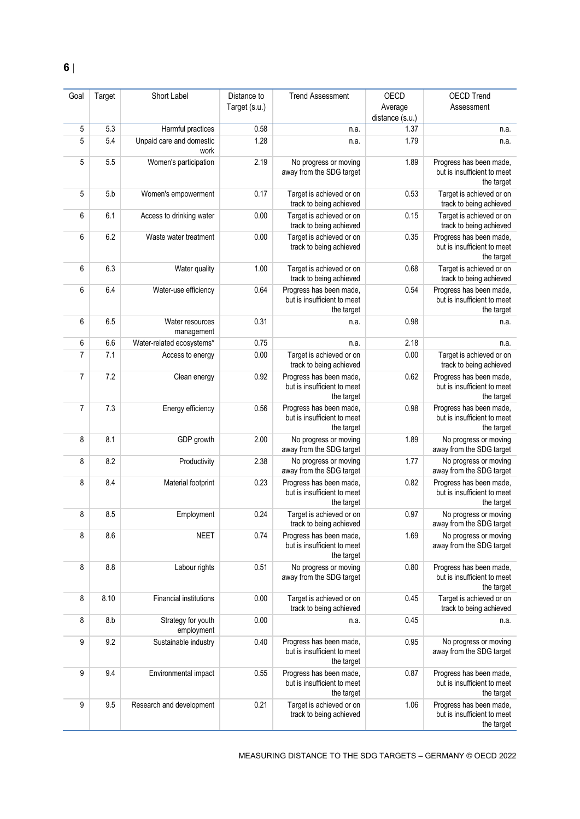| Goal           | Target | Short Label                      | Distance to   | <b>Trend Assessment</b>                                              | OECD                       | <b>OECD Trend</b>                                                    |
|----------------|--------|----------------------------------|---------------|----------------------------------------------------------------------|----------------------------|----------------------------------------------------------------------|
|                |        |                                  | Target (s.u.) |                                                                      | Average<br>distance (s.u.) | Assessment                                                           |
| 5              | 5.3    | Harmful practices                | 0.58          | n.a.                                                                 | 1.37                       | n.a.                                                                 |
| 5              | 5.4    | Unpaid care and domestic<br>work | 1.28          | n.a.                                                                 | 1.79                       | n.a.                                                                 |
| 5              | 5.5    | Women's participation            | 2.19          | No progress or moving<br>away from the SDG target                    | 1.89                       | Progress has been made,<br>but is insufficient to meet<br>the target |
| 5              | 5.b    | Women's empowerment              | 0.17          | Target is achieved or on<br>track to being achieved                  | 0.53                       | Target is achieved or on<br>track to being achieved                  |
| 6              | 6.1    | Access to drinking water         | 0.00          | Target is achieved or on<br>track to being achieved                  | 0.15                       | Target is achieved or on<br>track to being achieved                  |
| 6              | 6.2    | Waste water treatment            | 0.00          | Target is achieved or on<br>track to being achieved                  | 0.35                       | Progress has been made,<br>but is insufficient to meet<br>the target |
| 6              | 6.3    | Water quality                    | 1.00          | Target is achieved or on<br>track to being achieved                  | 0.68                       | Target is achieved or on<br>track to being achieved                  |
| 6              | 6.4    | Water-use efficiency             | 0.64          | Progress has been made,<br>but is insufficient to meet<br>the target | 0.54                       | Progress has been made,<br>but is insufficient to meet<br>the target |
| 6              | 6.5    | Water resources<br>management    | 0.31          | n.a.                                                                 | 0.98                       | n.a.                                                                 |
| 6              | 6.6    | Water-related ecosystems*        | 0.75          | n.a.                                                                 | 2.18                       | n.a.                                                                 |
| $\overline{7}$ | 7.1    | Access to energy                 | 0.00          | Target is achieved or on<br>track to being achieved                  | 0.00                       | Target is achieved or on<br>track to being achieved                  |
| $\overline{7}$ | 7.2    | Clean energy                     | 0.92          | Progress has been made,<br>but is insufficient to meet<br>the target | 0.62                       | Progress has been made,<br>but is insufficient to meet<br>the target |
| 7              | 7.3    | Energy efficiency                | 0.56          | Progress has been made,<br>but is insufficient to meet<br>the target | 0.98                       | Progress has been made,<br>but is insufficient to meet<br>the target |
| 8              | 8.1    | GDP growth                       | 2.00          | No progress or moving<br>away from the SDG target                    | 1.89                       | No progress or moving<br>away from the SDG target                    |
| 8              | 8.2    | Productivity                     | 2.38          | No progress or moving<br>away from the SDG target                    | 1.77                       | No progress or moving<br>away from the SDG target                    |
| 8              | 8.4    | Material footprint               | 0.23          | Progress has been made,<br>but is insufficient to meet<br>the target | 0.82                       | Progress has been made,<br>but is insufficient to meet<br>the target |
| 8              | 8.5    | Employment                       | 0.24          | Target is achieved or on<br>track to being achieved                  | 0.97                       | No progress or moving<br>away from the SDG target                    |
| 8              | 8.6    | <b>NEET</b>                      | 0.74          | Progress has been made,<br>but is insufficient to meet<br>the target | 1.69                       | No progress or moving<br>away from the SDG target                    |
| 8              | 8.8    | Labour rights                    | 0.51          | No progress or moving<br>away from the SDG target                    | 0.80                       | Progress has been made,<br>but is insufficient to meet<br>the target |
| 8              | 8.10   | Financial institutions           | 0.00          | Target is achieved or on<br>track to being achieved                  | 0.45                       | Target is achieved or on<br>track to being achieved                  |
| 8              | 8.b    | Strategy for youth<br>employment | 0.00          | n.a.                                                                 | 0.45                       | n.a.                                                                 |
| 9              | 9.2    | Sustainable industry             | 0.40          | Progress has been made,<br>but is insufficient to meet<br>the target | 0.95                       | No progress or moving<br>away from the SDG target                    |
| 9              | 9.4    | Environmental impact             | 0.55          | Progress has been made,<br>but is insufficient to meet<br>the target | 0.87                       | Progress has been made,<br>but is insufficient to meet<br>the target |
| 9              | 9.5    | Research and development         | 0.21          | Target is achieved or on<br>track to being achieved                  | 1.06                       | Progress has been made,<br>but is insufficient to meet<br>the target |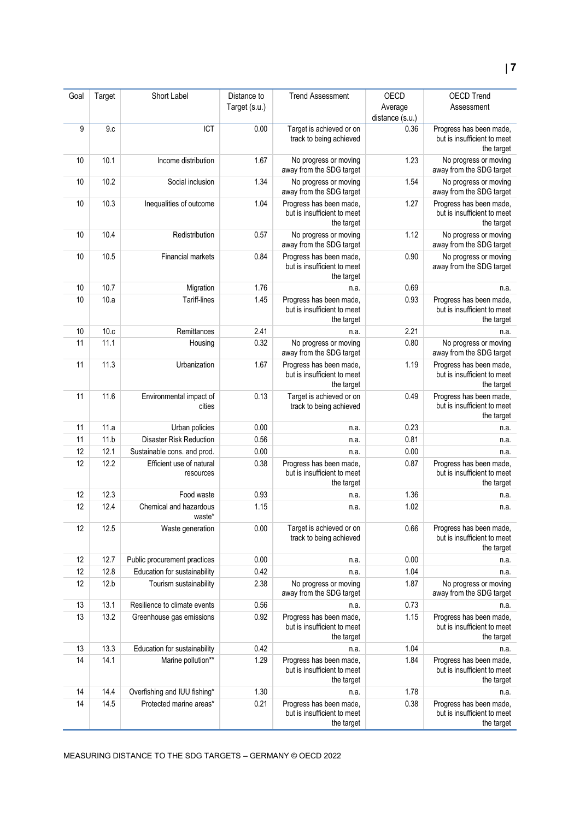| Goal | Target | Short Label                           | Distance to   | <b>Trend Assessment</b>                                              | OECD            | <b>OECD Trend</b>                                                    |
|------|--------|---------------------------------------|---------------|----------------------------------------------------------------------|-----------------|----------------------------------------------------------------------|
|      |        |                                       | Target (s.u.) |                                                                      | Average         | Assessment                                                           |
|      |        |                                       |               |                                                                      | distance (s.u.) |                                                                      |
| 9    | 9.c    | ICT                                   | 0.00          | Target is achieved or on<br>track to being achieved                  | 0.36            | Progress has been made,<br>but is insufficient to meet<br>the target |
| 10   | 10.1   | Income distribution                   | 1.67          | No progress or moving<br>away from the SDG target                    | 1.23            | No progress or moving<br>away from the SDG target                    |
| 10   | 10.2   | Social inclusion                      | 1.34          | No progress or moving<br>away from the SDG target                    | 1.54            | No progress or moving<br>away from the SDG target                    |
| 10   | 10.3   | Inequalities of outcome               | 1.04          | Progress has been made,<br>but is insufficient to meet<br>the target | 1.27            | Progress has been made,<br>but is insufficient to meet<br>the target |
| 10   | 10.4   | Redistribution                        | 0.57          | No progress or moving<br>away from the SDG target                    | 1.12            | No progress or moving<br>away from the SDG target                    |
| 10   | 10.5   | Financial markets                     | 0.84          | Progress has been made,<br>but is insufficient to meet<br>the target | 0.90            | No progress or moving<br>away from the SDG target                    |
| 10   | 10.7   | Migration                             | 1.76          | n.a.                                                                 | 0.69            | n.a.                                                                 |
| 10   | 10.a   | Tariff-lines                          | 1.45          | Progress has been made,<br>but is insufficient to meet<br>the target | 0.93            | Progress has been made,<br>but is insufficient to meet<br>the target |
| 10   | 10.c   | Remittances                           | 2.41          | n.a.                                                                 | 2.21            | n.a.                                                                 |
| 11   | 11.1   | Housing                               | 0.32          | No progress or moving<br>away from the SDG target                    | 0.80            | No progress or moving<br>away from the SDG target                    |
| 11   | 11.3   | Urbanization                          | 1.67          | Progress has been made,<br>but is insufficient to meet<br>the target | 1.19            | Progress has been made,<br>but is insufficient to meet<br>the target |
| 11   | 11.6   | Environmental impact of<br>cities     | 0.13          | Target is achieved or on<br>track to being achieved                  | 0.49            | Progress has been made,<br>but is insufficient to meet<br>the target |
| 11   | 11.a   | Urban policies                        | 0.00          | n.a.                                                                 | 0.23            | n.a.                                                                 |
| 11   | 11.b   | <b>Disaster Risk Reduction</b>        | 0.56          | n.a.                                                                 | 0.81            | n.a.                                                                 |
| 12   | 12.1   | Sustainable cons. and prod.           | 0.00          | n.a.                                                                 | 0.00            | n.a.                                                                 |
| 12   | 12.2   | Efficient use of natural<br>resources | 0.38          | Progress has been made,<br>but is insufficient to meet<br>the target | 0.87            | Progress has been made,<br>but is insufficient to meet<br>the target |
| 12   | 12.3   | Food waste                            | 0.93          | n.a.                                                                 | 1.36            | n.a.                                                                 |
| 12   | 12.4   | Chemical and hazardous<br>waste*      | 1.15          | n.a.                                                                 | 1.02            | n.a.                                                                 |
| 12   | 12.5   | Waste generation                      | 0.00          | Target is achieved or on<br>track to being achieved                  | 0.66            | Progress has been made,<br>but is insufficient to meet<br>the target |
| 12   | 12.7   | Public procurement practices          | 0.00          | n.a.                                                                 | 0.00            | n.a.                                                                 |
| 12   | 12.8   | Education for sustainability          | 0.42          | n.a.                                                                 | 1.04            | n.a.                                                                 |
| 12   | 12.b   | Tourism sustainability                | 2.38          | No progress or moving<br>away from the SDG target                    | 1.87            | No progress or moving<br>away from the SDG target                    |
| 13   | 13.1   | Resilience to climate events          | 0.56          | n.a.                                                                 | 0.73            | n.a.                                                                 |
| 13   | 13.2   | Greenhouse gas emissions              | 0.92          | Progress has been made,<br>but is insufficient to meet<br>the target | 1.15            | Progress has been made,<br>but is insufficient to meet<br>the target |
| 13   | 13.3   | Education for sustainability          | 0.42          | n.a.                                                                 | 1.04            | n.a.                                                                 |
| 14   | 14.1   | Marine pollution**                    | 1.29          | Progress has been made,<br>but is insufficient to meet<br>the target | 1.84            | Progress has been made,<br>but is insufficient to meet<br>the target |
| 14   | 14.4   | Overfishing and IUU fishing*          | 1.30          | n.a.                                                                 | 1.78            | n.a.                                                                 |
| 14   | 14.5   | Protected marine areas*               | 0.21          | Progress has been made,<br>but is insufficient to meet<br>the target | 0.38            | Progress has been made,<br>but is insufficient to meet<br>the target |

MEASURING DISTANCE TO THE SDG TARGETS – GERMANY © OECD 2022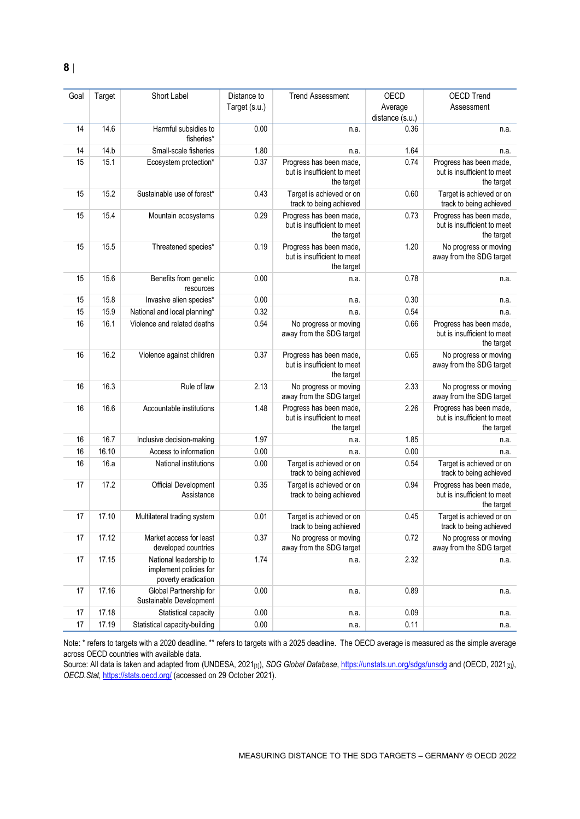| Goal | Target | Short Label                                                             | Distance to   | <b>Trend Assessment</b>                                              | OECD                       | <b>OECD Trend</b>                                                    |
|------|--------|-------------------------------------------------------------------------|---------------|----------------------------------------------------------------------|----------------------------|----------------------------------------------------------------------|
|      |        |                                                                         | Target (s.u.) |                                                                      | Average<br>distance (s.u.) | Assessment                                                           |
| 14   | 14.6   | Harmful subsidies to<br>fisheries*                                      | 0.00          | n.a.                                                                 | 0.36                       | n.a.                                                                 |
| 14   | 14.b   | Small-scale fisheries                                                   | 1.80          | n.a.                                                                 | 1.64                       | n.a.                                                                 |
| 15   | 15.1   | Ecosystem protection*                                                   | 0.37          | Progress has been made,<br>but is insufficient to meet<br>the target | 0.74                       | Progress has been made,<br>but is insufficient to meet<br>the target |
| 15   | 15.2   | Sustainable use of forest*                                              | 0.43          | Target is achieved or on<br>track to being achieved                  | 0.60                       | Target is achieved or on<br>track to being achieved                  |
| 15   | 15.4   | Mountain ecosystems                                                     | 0.29          | Progress has been made,<br>but is insufficient to meet<br>the target | 0.73                       | Progress has been made,<br>but is insufficient to meet<br>the target |
| 15   | 15.5   | Threatened species*                                                     | 0.19          | Progress has been made,<br>but is insufficient to meet<br>the target | 1.20                       | No progress or moving<br>away from the SDG target                    |
| 15   | 15.6   | Benefits from genetic<br>resources                                      | 0.00          | n.a.                                                                 | 0.78                       | n.a.                                                                 |
| 15   | 15.8   | Invasive alien species*                                                 | 0.00          | n.a.                                                                 | 0.30                       | n.a.                                                                 |
| 15   | 15.9   | National and local planning*                                            | 0.32          | n.a.                                                                 | 0.54                       | n.a.                                                                 |
| 16   | 16.1   | Violence and related deaths                                             | 0.54          | No progress or moving<br>away from the SDG target                    | 0.66                       | Progress has been made,<br>but is insufficient to meet<br>the target |
| 16   | 16.2   | Violence against children                                               | 0.37          | Progress has been made,<br>but is insufficient to meet<br>the target | 0.65                       | No progress or moving<br>away from the SDG target                    |
| 16   | 16.3   | Rule of law                                                             | 2.13          | No progress or moving<br>away from the SDG target                    | 2.33                       | No progress or moving<br>away from the SDG target                    |
| 16   | 16.6   | Accountable institutions                                                | 1.48          | Progress has been made,<br>but is insufficient to meet<br>the target | 2.26                       | Progress has been made,<br>but is insufficient to meet<br>the target |
| 16   | 16.7   | Inclusive decision-making                                               | 1.97          | n.a.                                                                 | 1.85                       | n.a.                                                                 |
| 16   | 16.10  | Access to information                                                   | 0.00          | n.a.                                                                 | 0.00                       | n.a.                                                                 |
| 16   | 16.a   | National institutions                                                   | 0.00          | Target is achieved or on<br>track to being achieved                  | 0.54                       | Target is achieved or on<br>track to being achieved                  |
| 17   | 17.2   | Official Development<br>Assistance                                      | 0.35          | Target is achieved or on<br>track to being achieved                  | 0.94                       | Progress has been made,<br>but is insufficient to meet<br>the target |
| 17   | 17.10  | Multilateral trading system                                             | 0.01          | Target is achieved or on<br>track to being achieved                  | 0.45                       | Target is achieved or on<br>track to being achieved                  |
| 17   | 17.12  | Market access for least<br>developed countries                          | 0.37          | No progress or moving<br>away from the SDG target                    | 0.72                       | No progress or moving<br>away from the SDG target                    |
| 17   | 17.15  | National leadership to<br>implement policies for<br>poverty eradication | 1.74          | n.a.                                                                 | 2.32                       | n.a.                                                                 |
| 17   | 17.16  | Global Partnership for<br>Sustainable Development                       | 0.00          | n.a.                                                                 | 0.89                       | n.a.                                                                 |
| 17   | 17.18  | Statistical capacity                                                    | 0.00          | n.a.                                                                 | 0.09                       | n.a.                                                                 |
| 17   | 17.19  | Statistical capacity-building                                           | 0.00          | n.a.                                                                 | 0.11                       | n.a.                                                                 |

Note: \* refers to targets with a 2020 deadline. \*\* refers to targets with a 2025 deadline. The OECD average is measured as the simple average across OECD countries with available data.

Source: All data is taken and adapted from (UNDESA, 2021<sub>[1]</sub>), *SDG Global Database*[, https://unstats.un.org/sdgs/unsdg](https://unstats.un.org/sdgs/unsdg) and (OECD, 2021<sub>[2]</sub>), *OECD.Stat,* <https://stats.oecd.org/> (accessed on 29 October 2021).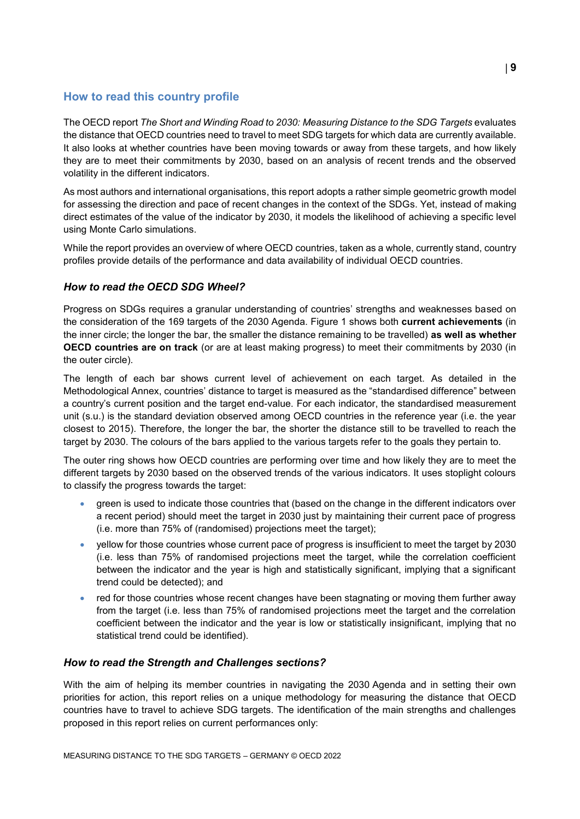## <span id="page-8-0"></span>**How to read this country profile**

The OECD report *The Short and Winding Road to 2030: Measuring Distance to the SDG Targets* evaluates the distance that OECD countries need to travel to meet SDG targets for which data are currently available. It also looks at whether countries have been moving towards or away from these targets, and how likely they are to meet their commitments by 2030, based on an analysis of recent trends and the observed volatility in the different indicators.

As most authors and international organisations, this report adopts a rather simple geometric growth model for assessing the direction and pace of recent changes in the context of the SDGs. Yet, instead of making direct estimates of the value of the indicator by 2030, it models the likelihood of achieving a specific level using Monte Carlo simulations.

While the report provides an overview of where OECD countries, taken as a whole, currently stand, country profiles provide details of the performance and data availability of individual OECD countries.

## *How to read the OECD SDG Wheel?*

Progress on SDGs requires a granular understanding of countries' strengths and weaknesses based on the consideration of the 169 targets of the 2030 Agenda. [Figure](#page-0-0) 1 shows both **current achievements** (in the inner circle; the longer the bar, the smaller the distance remaining to be travelled) **as well as whether OECD countries are on track** (or are at least making progress) to meet their commitments by 2030 (in the outer circle).

The length of each bar shows current level of achievement on each target. As detailed in the Methodological Annex, countries' distance to target is measured as the "standardised difference" between a country's current position and the target end-value. For each indicator, the standardised measurement unit (s.u.) is the standard deviation observed among OECD countries in the reference year (i.e. the year closest to 2015). Therefore, the longer the bar, the shorter the distance still to be travelled to reach the target by 2030. The colours of the bars applied to the various targets refer to the goals they pertain to.

The outer ring shows how OECD countries are performing over time and how likely they are to meet the different targets by 2030 based on the observed trends of the various indicators. It uses stoplight colours to classify the progress towards the target:

- green is used to indicate those countries that (based on the change in the different indicators over a recent period) should meet the target in 2030 just by maintaining their current pace of progress (i.e. more than 75% of (randomised) projections meet the target);
- yellow for those countries whose current pace of progress is insufficient to meet the target by 2030 (i.e. less than 75% of randomised projections meet the target, while the correlation coefficient between the indicator and the year is high and statistically significant, implying that a significant trend could be detected); and
- red for those countries whose recent changes have been stagnating or moving them further away from the target (i.e. less than 75% of randomised projections meet the target and the correlation coefficient between the indicator and the year is low or statistically insignificant, implying that no statistical trend could be identified).

## *How to read the Strength and Challenges sections?*

With the aim of helping its member countries in navigating the 2030 Agenda and in setting their own priorities for action, this report relies on a unique methodology for measuring the distance that OECD countries have to travel to achieve SDG targets. The identification of the main strengths and challenges proposed in this report relies on current performances only: